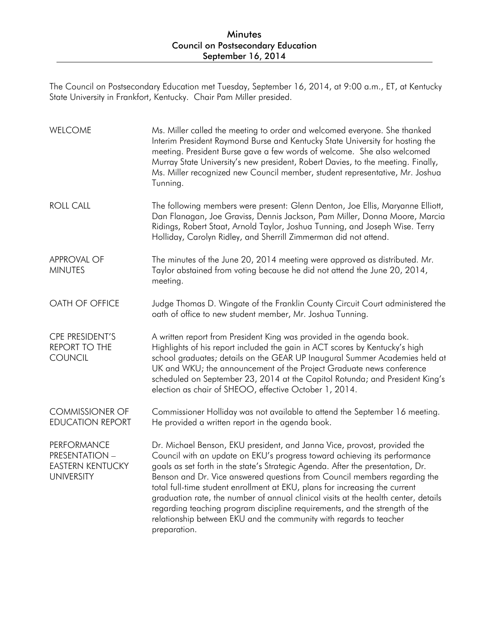## Minutes Council on Postsecondary Education September 16, 2014

The Council on Postsecondary Education met Tuesday, September 16, 2014, at 9:00 a.m., ET, at Kentucky State University in Frankfort, Kentucky. Chair Pam Miller presided.

| WELCOME                                                                              | Ms. Miller called the meeting to order and welcomed everyone. She thanked<br>Interim President Raymond Burse and Kentucky State University for hosting the<br>meeting. President Burse gave a few words of welcome. She also welcomed<br>Murray State University's new president, Robert Davies, to the meeting. Finally,<br>Ms. Miller recognized new Council member, student representative, Mr. Joshua<br>Tunning.                                                                                                                                                                                                                                            |
|--------------------------------------------------------------------------------------|------------------------------------------------------------------------------------------------------------------------------------------------------------------------------------------------------------------------------------------------------------------------------------------------------------------------------------------------------------------------------------------------------------------------------------------------------------------------------------------------------------------------------------------------------------------------------------------------------------------------------------------------------------------|
| <b>ROLL CALL</b>                                                                     | The following members were present: Glenn Denton, Joe Ellis, Maryanne Elliott,<br>Dan Flanagan, Joe Graviss, Dennis Jackson, Pam Miller, Donna Moore, Marcia<br>Ridings, Robert Staat, Arnold Taylor, Joshua Tunning, and Joseph Wise. Terry<br>Holliday, Carolyn Ridley, and Sherrill Zimmerman did not attend.                                                                                                                                                                                                                                                                                                                                                 |
| <b>APPROVAL OF</b><br><b>MINUTES</b>                                                 | The minutes of the June 20, 2014 meeting were approved as distributed. Mr.<br>Taylor abstained from voting because he did not attend the June 20, 2014,<br>meeting.                                                                                                                                                                                                                                                                                                                                                                                                                                                                                              |
| OATH OF OFFICE                                                                       | Judge Thomas D. Wingate of the Franklin County Circuit Court administered the<br>oath of office to new student member, Mr. Joshua Tunning.                                                                                                                                                                                                                                                                                                                                                                                                                                                                                                                       |
| CPE PRESIDENT'S<br>REPORT TO THE<br><b>COUNCIL</b>                                   | A written report from President King was provided in the agenda book.<br>Highlights of his report included the gain in ACT scores by Kentucky's high<br>school graduates; details on the GEAR UP Inaugural Summer Academies held at<br>UK and WKU; the announcement of the Project Graduate news conference<br>scheduled on September 23, 2014 at the Capitol Rotunda; and President King's<br>election as chair of SHEOO, effective October 1, 2014.                                                                                                                                                                                                            |
| <b>COMMISSIONER OF</b><br><b>EDUCATION REPORT</b>                                    | Commissioner Holliday was not available to attend the September 16 meeting.<br>He provided a written report in the agenda book.                                                                                                                                                                                                                                                                                                                                                                                                                                                                                                                                  |
| PERFORMANCE<br><b>PRESENTATION -</b><br><b>EASTERN KENTUCKY</b><br><b>UNIVERSITY</b> | Dr. Michael Benson, EKU president, and Janna Vice, provost, provided the<br>Council with an update on EKU's progress toward achieving its performance<br>goals as set forth in the state's Strategic Agenda. After the presentation, Dr.<br>Benson and Dr. Vice answered questions from Council members regarding the<br>total full-time student enrollment at EKU, plans for increasing the current<br>graduation rate, the number of annual clinical visits at the health center, details<br>regarding teaching program discipline requirements, and the strength of the<br>relationship between EKU and the community with regards to teacher<br>preparation. |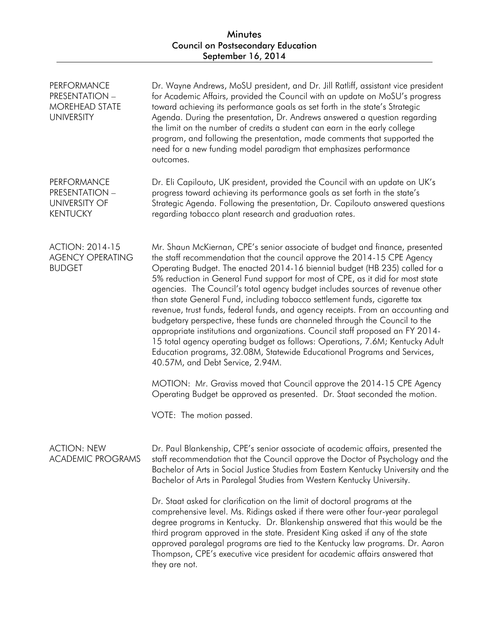| <b>PERFORMANCE</b><br>PRESENTATION -<br><b>MOREHEAD STATE</b><br><b>UNIVERSITY</b> | Dr. Wayne Andrews, MoSU president, and Dr. Jill Ratliff, assistant vice president<br>for Academic Affairs, provided the Council with an update on MoSU's progress<br>toward achieving its performance goals as set forth in the state's Strategic<br>Agenda. During the presentation, Dr. Andrews answered a question regarding<br>the limit on the number of credits a student can earn in the early college<br>program, and following the presentation, made comments that supported the<br>need for a new funding model paradigm that emphasizes performance<br>outcomes.                                                                                                                                                                                                                                                                                                                                                                                                                                                                                                                         |
|------------------------------------------------------------------------------------|------------------------------------------------------------------------------------------------------------------------------------------------------------------------------------------------------------------------------------------------------------------------------------------------------------------------------------------------------------------------------------------------------------------------------------------------------------------------------------------------------------------------------------------------------------------------------------------------------------------------------------------------------------------------------------------------------------------------------------------------------------------------------------------------------------------------------------------------------------------------------------------------------------------------------------------------------------------------------------------------------------------------------------------------------------------------------------------------------|
| <b>PERFORMANCE</b><br>PRESENTATION -<br><b>UNIVERSITY OF</b><br><b>KENTUCKY</b>    | Dr. Eli Capilouto, UK president, provided the Council with an update on UK's<br>progress toward achieving its performance goals as set forth in the state's<br>Strategic Agenda. Following the presentation, Dr. Capilouto answered questions<br>regarding tobacco plant research and graduation rates.                                                                                                                                                                                                                                                                                                                                                                                                                                                                                                                                                                                                                                                                                                                                                                                              |
| <b>ACTION: 2014-15</b><br><b>AGENCY OPERATING</b><br><b>BUDGET</b>                 | Mr. Shaun McKiernan, CPE's senior associate of budget and finance, presented<br>the staff recommendation that the council approve the 2014-15 CPE Agency<br>Operating Budget. The enacted 2014-16 biennial budget (HB 235) called for a<br>5% reduction in General Fund support for most of CPE, as it did for most state<br>agencies. The Council's total agency budget includes sources of revenue other<br>than state General Fund, including tobacco settlement funds, cigarette tax<br>revenue, trust funds, federal funds, and agency receipts. From an accounting and<br>budgetary perspective, these funds are channeled through the Council to the<br>appropriate institutions and organizations. Council staff proposed an FY 2014-<br>15 total agency operating budget as follows: Operations, 7.6M; Kentucky Adult<br>Education programs, 32.08M, Statewide Educational Programs and Services,<br>40.57M, and Debt Service, 2.94M.<br>MOTION: Mr. Graviss moved that Council approve the 2014-15 CPE Agency<br>Operating Budget be approved as presented. Dr. Staat seconded the motion. |
|                                                                                    | VOTE: The motion passed.                                                                                                                                                                                                                                                                                                                                                                                                                                                                                                                                                                                                                                                                                                                                                                                                                                                                                                                                                                                                                                                                             |
| <b>ACTION: NEW</b><br><b>ACADEMIC PROGRAMS</b>                                     | Dr. Paul Blankenship, CPE's senior associate of academic affairs, presented the<br>staff recommendation that the Council approve the Doctor of Psychology and the<br>Bachelor of Arts in Social Justice Studies from Eastern Kentucky University and the<br>Bachelor of Arts in Paralegal Studies from Western Kentucky University.                                                                                                                                                                                                                                                                                                                                                                                                                                                                                                                                                                                                                                                                                                                                                                  |
|                                                                                    | Dr. Staat asked for clarification on the limit of doctoral programs at the<br>comprehensive level. Ms. Ridings asked if there were other four-year paralegal<br>degree programs in Kentucky. Dr. Blankenship answered that this would be the<br>third program approved in the state. President King asked if any of the state<br>approved paralegal programs are tied to the Kentucky law programs. Dr. Aaron<br>Thompson, CPE's executive vice president for academic affairs answered that<br>they are not.                                                                                                                                                                                                                                                                                                                                                                                                                                                                                                                                                                                        |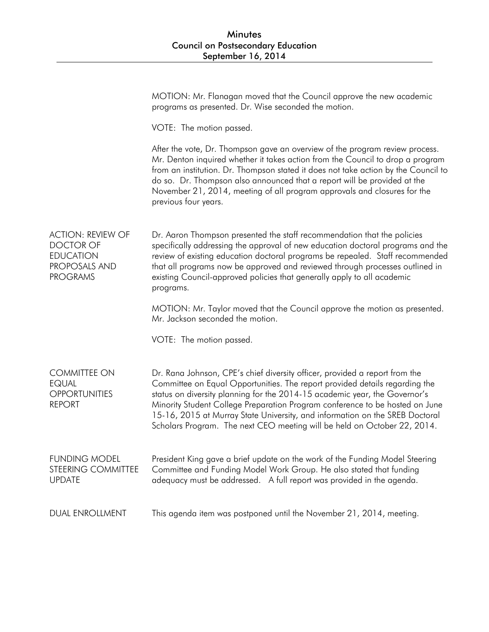## Minutes Council on Postsecondary Education September 16, 2014

|                                                                                                      | MOTION: Mr. Flanagan moved that the Council approve the new academic<br>programs as presented. Dr. Wise seconded the motion.                                                                                                                                                                                                                                                                                                                                                         |
|------------------------------------------------------------------------------------------------------|--------------------------------------------------------------------------------------------------------------------------------------------------------------------------------------------------------------------------------------------------------------------------------------------------------------------------------------------------------------------------------------------------------------------------------------------------------------------------------------|
|                                                                                                      | VOTE: The motion passed.                                                                                                                                                                                                                                                                                                                                                                                                                                                             |
|                                                                                                      | After the vote, Dr. Thompson gave an overview of the program review process.<br>Mr. Denton inquired whether it takes action from the Council to drop a program<br>from an institution. Dr. Thompson stated it does not take action by the Council to<br>do so. Dr. Thompson also announced that a report will be provided at the<br>November 21, 2014, meeting of all program approvals and closures for the<br>previous four years.                                                 |
| <b>ACTION: REVIEW OF</b><br><b>DOCTOR OF</b><br><b>EDUCATION</b><br>PROPOSALS AND<br><b>PROGRAMS</b> | Dr. Aaron Thompson presented the staff recommendation that the policies<br>specifically addressing the approval of new education doctoral programs and the<br>review of existing education doctoral programs be repealed. Staff recommended<br>that all programs now be approved and reviewed through processes outlined in<br>existing Council-approved policies that generally apply to all academic<br>programs.                                                                  |
|                                                                                                      | MOTION: Mr. Taylor moved that the Council approve the motion as presented.<br>Mr. Jackson seconded the motion.                                                                                                                                                                                                                                                                                                                                                                       |
|                                                                                                      | VOTE: The motion passed.                                                                                                                                                                                                                                                                                                                                                                                                                                                             |
| <b>COMMITTEE ON</b><br><b>EQUAL</b><br><b>OPPORTUNITIES</b><br><b>REPORT</b>                         | Dr. Rana Johnson, CPE's chief diversity officer, provided a report from the<br>Committee on Equal Opportunities. The report provided details regarding the<br>status on diversity planning for the 2014-15 academic year, the Governor's<br>Minority Student College Preparation Program conference to be hosted on June<br>15-16, 2015 at Murray State University, and information on the SREB Doctoral<br>Scholars Program. The next CEO meeting will be held on October 22, 2014. |
| <b>FUNDING MODEL</b><br>STEERING COMMITTEE<br><b>UPDATE</b>                                          | President King gave a brief update on the work of the Funding Model Steering<br>Committee and Funding Model Work Group. He also stated that funding<br>adequacy must be addressed. A full report was provided in the agenda.                                                                                                                                                                                                                                                         |
| <b>DUAL ENROLLMENT</b>                                                                               | This agenda item was postponed until the November 21, 2014, meeting.                                                                                                                                                                                                                                                                                                                                                                                                                 |